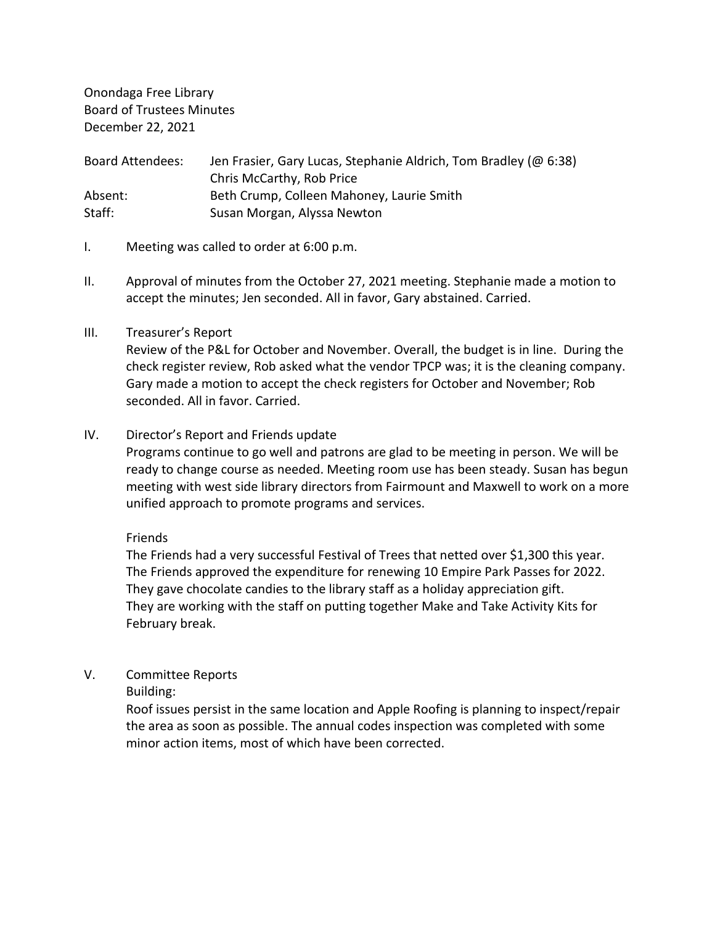Onondaga Free Library Board of Trustees Minutes December 22, 2021

Board Attendees: Jen Frasier, Gary Lucas, Stephanie Aldrich, Tom Bradley (@ 6:38) Chris McCarthy, Rob Price Absent: Beth Crump, Colleen Mahoney, Laurie Smith Staff: Susan Morgan, Alyssa Newton

- I. Meeting was called to order at 6:00 p.m.
- II. Approval of minutes from the October 27, 2021 meeting. Stephanie made a motion to accept the minutes; Jen seconded. All in favor, Gary abstained. Carried.

## III. Treasurer's Report

Review of the P&L for October and November. Overall, the budget is in line. During the check register review, Rob asked what the vendor TPCP was; it is the cleaning company. Gary made a motion to accept the check registers for October and November; Rob seconded. All in favor. Carried.

## IV. Director's Report and Friends update

Programs continue to go well and patrons are glad to be meeting in person. We will be ready to change course as needed. Meeting room use has been steady. Susan has begun meeting with west side library directors from Fairmount and Maxwell to work on a more unified approach to promote programs and services.

Friends

The Friends had a very successful Festival of Trees that netted over \$1,300 this year. The Friends approved the expenditure for renewing 10 Empire Park Passes for 2022. They gave chocolate candies to the library staff as a holiday appreciation gift. They are working with the staff on putting together Make and Take Activity Kits for February break.

# V. Committee Reports

Building:

Roof issues persist in the same location and Apple Roofing is planning to inspect/repair the area as soon as possible. The annual codes inspection was completed with some minor action items, most of which have been corrected.